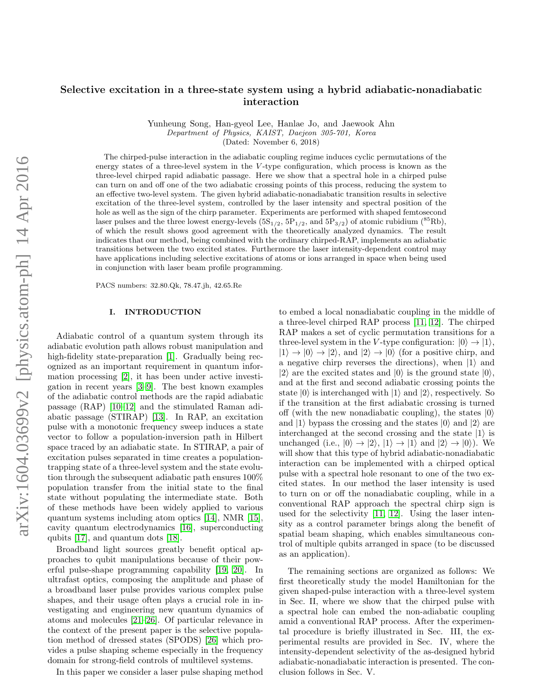# Selective excitation in a three-state system using a hybrid adiabatic-nonadiabatic interaction

Yunheung Song, Han-gyeol Lee, Hanlae Jo, and Jaewook Ahn

Department of Physics, KAIST, Daejeon 305-701, Korea

(Dated: November 6, 2018)

The chirped-pulse interaction in the adiabatic coupling regime induces cyclic permutations of the energy states of a three-level system in the  $V$ -type configuration, which process is known as the three-level chirped rapid adiabatic passage. Here we show that a spectral hole in a chirped pulse can turn on and off one of the two adiabatic crossing points of this process, reducing the system to an effective two-level system. The given hybrid adiabatic-nonadiabatic transition results in selective excitation of the three-level system, controlled by the laser intensity and spectral position of the hole as well as the sign of the chirp parameter. Experiments are performed with shaped femtosecond laser pulses and the three lowest energy-levels  $(5S_{1/2}, 5P_{1/2}, and 5P_{3/2})$  of atomic rubidium (<sup>85</sup>Rb), of which the result shows good agreement with the theoretically analyzed dynamics. The result indicates that our method, being combined with the ordinary chirped-RAP, implements an adiabatic transitions between the two excited states. Furthermore the laser intensity-dependent control may have applications including selective excitations of atoms or ions arranged in space when being used in conjunction with laser beam profile programming.

PACS numbers: 32.80.Qk, 78.47.jh, 42.65.Re

#### I. INTRODUCTION

Adiabatic control of a quantum system through its adiabatic evolution path allows robust manipulation and high-fidelity state-preparation [\[1\]](#page-5-0). Gradually being recognized as an important requirement in quantum information processing [\[2\]](#page-5-1), it has been under active investigation in recent years [\[3–](#page-5-2)[9\]](#page-5-3). The best known examples of the adiabatic control methods are the rapid adiabatic passage (RAP) [\[10](#page-5-4)[–12\]](#page-6-0) and the stimulated Raman adiabatic passage (STIRAP) [\[13\]](#page-6-1). In RAP, an excitation pulse with a monotonic frequency sweep induces a state vector to follow a population-inversion path in Hilbert space traced by an adiabatic state. In STIRAP, a pair of excitation pulses separated in time creates a populationtrapping state of a three-level system and the state evolution through the subsequent adiabatic path ensures 100% population transfer from the initial state to the final state without populating the intermediate state. Both of these methods have been widely applied to various quantum systems including atom optics [\[14\]](#page-6-2), NMR [\[15\]](#page-6-3), cavity quantum electrodynamics [\[16\]](#page-6-4), superconducting qubits [\[17\]](#page-6-5), and quantum dots [\[18\]](#page-6-6).

Broadband light sources greatly benefit optical approaches to qubit manipulations because of their powerful pulse-shape programming capability [\[19,](#page-6-7) [20\]](#page-6-8). In ultrafast optics, composing the amplitude and phase of a broadband laser pulse provides various complex pulse shapes, and their usage often plays a crucial role in investigating and engineering new quantum dynamics of atoms and molecules [\[21](#page-6-9)[–26\]](#page-6-10). Of particular relevance in the context of the present paper is the selective population method of dressed states (SPODS) [\[26\]](#page-6-10) which provides a pulse shaping scheme especially in the frequency domain for strong-field controls of multilevel systems.

In this paper we consider a laser pulse shaping method

to embed a local nonadiabatic coupling in the middle of a three-level chirped RAP process [\[11,](#page-6-11) [12\]](#page-6-0). The chirped RAP makes a set of cyclic permutation transitions for a three-level system in the V-type configuration:  $|0\rangle \rightarrow |1\rangle$ ,  $|1\rangle \rightarrow |0\rangle \rightarrow |2\rangle$ , and  $|2\rangle \rightarrow |0\rangle$  (for a positive chirp, and a negative chirp reverses the directions), when  $|1\rangle$  and  $|2\rangle$  are the excited states and  $|0\rangle$  is the ground state  $|0\rangle$ , and at the first and second adiabatic crossing points the state  $|0\rangle$  is interchanged with  $|1\rangle$  and  $|2\rangle$ , respectively. So if the transition at the first adiabatic crossing is turned off (with the new nonadiabatic coupling), the states  $|0\rangle$ and  $|1\rangle$  bypass the crossing and the states  $|0\rangle$  and  $|2\rangle$  are interchanged at the second crossing and the state  $|1\rangle$  is unchanged (i.e.,  $|0\rangle \rightarrow |2\rangle$ ,  $|1\rangle \rightarrow |1\rangle$  and  $|2\rangle \rightarrow |0\rangle$ ). We will show that this type of hybrid adiabatic-nonadiabatic interaction can be implemented with a chirped optical pulse with a spectral hole resonant to one of the two excited states. In our method the laser intensity is used to turn on or off the nonadiabatic coupling, while in a conventional RAP approach the spectral chirp sign is used for the selectivity [\[11,](#page-6-11) [12\]](#page-6-0). Using the laser intensity as a control parameter brings along the benefit of spatial beam shaping, which enables simultaneous control of multiple qubits arranged in space (to be discussed as an application).

The remaining sections are organized as follows: We first theoretically study the model Hamiltonian for the given shaped-pulse interaction with a three-level system in Sec. II, where we show that the chirped pulse with a spectral hole can embed the non-adiabatic coupling amid a conventional RAP process. After the experimental procedure is briefly illustrated in Sec. III, the experimental results are provided in Sec. IV, where the intensity-dependent selectivity of the as-designed hybrid adiabatic-nonadiabatic interaction is presented. The conclusion follows in Sec. V.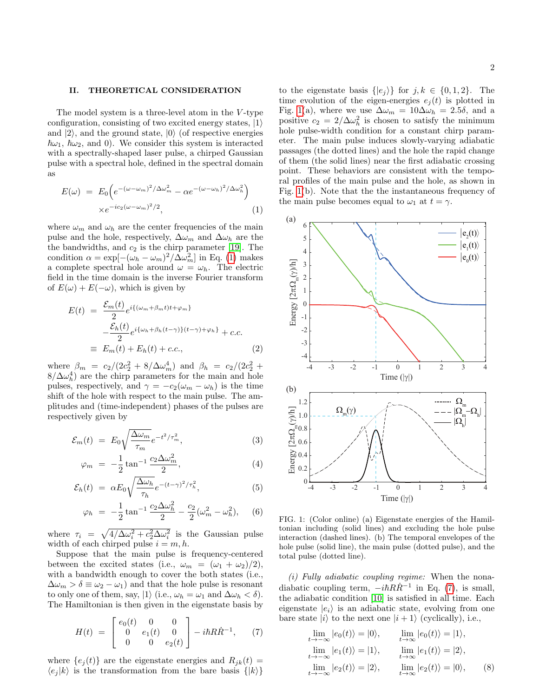## II. THEORETICAL CONSIDERATION

The model system is a three-level atom in the V-type configuration, consisting of two excited energy states,  $|1\rangle$ and  $|2\rangle$ , and the ground state,  $|0\rangle$  (of respective energies  $\hbar\omega_1$ ,  $\hbar\omega_2$ , and 0). We consider this system is interacted with a spectrally-shaped laser pulse, a chirped Gaussian pulse with a spectral hole, defined in the spectral domain as

<span id="page-1-0"></span>
$$
E(\omega) = E_0 \left( e^{-(\omega - \omega_m)^2 / \Delta \omega_m^2} - \alpha e^{-(\omega - \omega_h)^2 / \Delta \omega_h^2} \right)
$$

$$
\times e^{-ic_2(\omega - \omega_m)^2 / 2}, \tag{1}
$$

where  $\omega_m$  and  $\omega_h$  are the center frequencies of the main pulse and the hole, respectively,  $\Delta \omega_m$  and  $\Delta \omega_h$  are the the bandwidths, and  $c_2$  is the chirp parameter [\[19\]](#page-6-7). The condition  $\alpha = \exp[-(\omega_h - \omega_m)^2/\Delta \omega_m^2]$  in Eq. [\(1\)](#page-1-0) makes a complete spectral hole around  $\omega = \omega_h$ . The electric field in the time domain is the inverse Fourier transform of  $E(\omega) + E(-\omega)$ , which is given by

$$
E(t) = \frac{\mathcal{E}_m(t)}{2} e^{i\{(\omega_m + \beta_m t)t + \varphi_m\}} -\frac{\mathcal{E}_h(t)}{2} e^{i\{\omega_h + \beta_h(t-\gamma)\}(t-\gamma) + \varphi_h\}} + c.c.
$$
  

$$
\equiv E_m(t) + E_h(t) + c.c.,
$$
 (2)

where  $\beta_m = c_2/(2c_2^2 + 8/\Delta\omega_m^4)$  and  $\beta_h = c_2/(2c_2^2 +$  $8/\Delta\omega_h^4$ ) are the chirp parameters for the main and hole pulses, respectively, and  $\gamma = -c_2(\omega_m - \omega_h)$  is the time shift of the hole with respect to the main pulse. The amplitudes and (time-independent) phases of the pulses are respectively given by

$$
\mathcal{E}_m(t) = E_0 \sqrt{\frac{\Delta \omega_m}{\tau_m}} e^{-t^2/\tau_m^2}, \tag{3}
$$

$$
\varphi_m = -\frac{1}{2} \tan^{-1} \frac{c_2 \Delta \omega_m^2}{2}, \qquad (4)
$$

$$
\mathcal{E}_h(t) = \alpha E_0 \sqrt{\frac{\Delta \omega_h}{\tau_h}} e^{-(t-\gamma)^2/\tau_h^2}, \tag{5}
$$

$$
\varphi_h = -\frac{1}{2} \tan^{-1} \frac{c_2 \Delta \omega_h^2}{2} - \frac{c_2}{2} (\omega_m^2 - \omega_h^2), \quad (6)
$$

where  $\tau_i = \sqrt{4/\Delta\omega_i^2 + c_2^2 \Delta\omega_i^2}$  is the Gaussian pulse width of each chirped pulse  $i = m, h$ .

Suppose that the main pulse is frequency-centered between the excited states (i.e.,  $\omega_m = (\omega_1 + \omega_2)/2$ ), with a bandwidth enough to cover the both states (i.e.,  $\Delta\omega_m > \delta \equiv \omega_2 - \omega_1$  and that the hole pulse is resonant to only one of them, say,  $|1\rangle$  (i.e.,  $\omega_h = \omega_1$  and  $\Delta \omega_h < \delta$ ). The Hamiltonian is then given in the eigenstate basis by

<span id="page-1-2"></span>
$$
H(t) = \begin{bmatrix} e_0(t) & 0 & 0 \\ 0 & e_1(t) & 0 \\ 0 & 0 & e_2(t) \end{bmatrix} - i\hbar R \dot{R}^{-1}, \qquad (7)
$$

where  $\{e_j(t)\}\$ are the eigenstate energies and  $R_{jk}(t) =$  $\langle e_i | k \rangle$  is the transformation from the bare basis  $\{|k\rangle\}$ 

to the eigenstate basis  $\{|e_i\rangle\}$  for  $j, k \in \{0, 1, 2\}$ . The time evolution of the eigen-energies  $e_i(t)$  is plotted in Fig. [1\(](#page-1-1)a), where we use  $\Delta \omega_m = 10 \Delta \omega_h = 2.5\delta$ , and a positive  $c_2 = 2/\Delta \omega_h^2$  is chosen to satisfy the minimum hole pulse-width condition for a constant chirp parameter. The main pulse induces slowly-varying adiabatic passages (the dotted lines) and the hole the rapid change of them (the solid lines) near the first adiabatic crossing point. These behaviors are consistent with the temporal profiles of the main pulse and the hole, as shown in Fig. [1\(](#page-1-1)b). Note that the the instantaneous frequency of the main pulse becomes equal to  $\omega_1$  at  $t = \gamma$ .



<span id="page-1-1"></span>FIG. 1: (Color online) (a) Eigenstate energies of the Hamiltonian including (solid lines) and excluding the hole pulse interaction (dashed lines). (b) The temporal envelopes of the hole pulse (solid line), the main pulse (dotted pulse), and the total pulse (dotted line).

 $(i)$  Fully adiabatic coupling regime: When the nonadiabatic coupling term,  $-i\hbar R\dot{R}^{-1}$  in Eq. [\(7\)](#page-1-2), is small, the adiabatic condition [\[10\]](#page-5-4) is satisfied in all time. Each eigenstate  $|e_i\rangle$  is an adiabatic state, evolving from one bare state  $|i\rangle$  to the next one  $|i + 1\rangle$  (cyclically), i.e.,

$$
\lim_{t \to -\infty} |e_0(t)\rangle = |0\rangle, \qquad \lim_{t \to \infty} |e_0(t)\rangle = |1\rangle, \n\lim_{t \to -\infty} |e_1(t)\rangle = |1\rangle, \qquad \lim_{t \to \infty} |e_1(t)\rangle = |2\rangle, \n\lim_{t \to -\infty} |e_2(t)\rangle = |2\rangle, \qquad \lim_{t \to \infty} |e_2(t)\rangle = |0\rangle, \qquad (8)
$$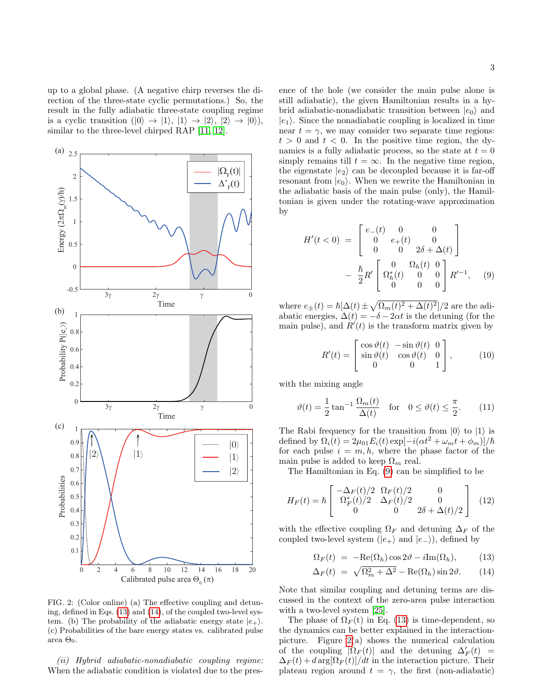up to a global phase. (A negative chirp reverses the direction of the three-state cyclic permutations.) So, the result in the fully adiabatic three-state coupling regime is a cyclic transition  $(|0\rangle \rightarrow |1\rangle, |1\rangle \rightarrow |2\rangle, |2\rangle \rightarrow |0\rangle),$ similar to the three-level chirped RAP [\[11,](#page-6-11) [12\]](#page-6-0).



<span id="page-2-2"></span>FIG. 2: (Color online) (a) The effective coupling and detuning, defined in Eqs. [\(13\)](#page-2-0) and [\(14\)](#page-2-0), of the coupled two-level system. (b) The probability of the adiabatic energy state  $|e_+\rangle$ . (c) Probabilities of the bare energy states vs. calibrated pulse area  $\Theta_0$ .

(ii) Hybrid adiabatic-nonadiabatic coupling regime: When the adiabatic condition is violated due to the presence of the hole (we consider the main pulse alone is still adiabatic), the given Hamiltonian results in a hybrid adiabatic-nonadiabatic transition between  $|e_0\rangle$  and  $|e_1\rangle$ . Since the nonadiabatic coupling is localized in time near  $t = \gamma$ , we may consider two separate time regions:  $t > 0$  and  $t < 0$ . In the positive time region, the dynamics is a fully adiabatic process, so the state at  $t = 0$ simply remains till  $t = \infty$ . In the negative time region, the eigenstate  $|e_2\rangle$  can be decoupled because it is far-off resonant from  $|e_0\rangle$ . When we rewrite the Hamiltonian in the adiabatic basis of the main pulse (only), the Hamiltonian is given under the rotating-wave approximation by

<span id="page-2-1"></span>
$$
H'(t<0) = \begin{bmatrix} e_{-}(t) & 0 & 0 \\ 0 & e_{+}(t) & 0 \\ 0 & 0 & 2\delta + \Delta(t) \end{bmatrix}
$$

$$
- \frac{\hbar}{2} R' \begin{bmatrix} 0 & \Omega_{h}(t) & 0 \\ \Omega_{h}^{*}(t) & 0 & 0 \\ 0 & 0 & 0 \end{bmatrix} R'^{-1}, \quad (9)
$$

where  $e_{\pm}(t) = \hbar[\Delta(t) \pm \sqrt{\Omega_m(t)^2 + \Delta(t)^2}]/2$  are the adiabatic energies,  $\Delta(t) = -\delta - 2\alpha t$  is the detuning (for the main pulse), and  $R'(t)$  is the transform matrix given by

$$
R'(t) = \begin{bmatrix} \cos \vartheta(t) & -\sin \vartheta(t) & 0\\ \sin \vartheta(t) & \cos \vartheta(t) & 0\\ 0 & 0 & 1 \end{bmatrix},
$$
 (10)

with the mixing angle

$$
\vartheta(t) = \frac{1}{2} \tan^{-1} \frac{\Omega_m(t)}{\Delta(t)} \quad \text{for} \quad 0 \le \vartheta(t) \le \frac{\pi}{2}.
$$
 (11)

The Rabi frequency for the transition from  $|0\rangle$  to  $|1\rangle$  is defined by  $\Omega_i(t) = 2\mu_{01}E_i(t) \exp[-i(\alpha t^2 + \omega_m t + \phi_m)]/\hbar$ for each pulse  $i = m, h$ , where the phase factor of the main pulse is added to keep  $\Omega_m$  real.

The Hamiltonian in Eq. [\(9\)](#page-2-1) can be simplified to be

$$
H_F(t) = \hbar \begin{bmatrix} -\Delta_F(t)/2 & \Omega_F(t)/2 & 0\\ \Omega_F^*(t)/2 & \Delta_F(t)/2 & 0\\ 0 & 0 & 2\delta + \Delta(t)/2 \end{bmatrix} (12)
$$

with the effective coupling  $\Omega_F$  and detuning  $\Delta_F$  of the coupled two-level system  $(|e_{+}\rangle$  and  $|e_{-}\rangle$ ), defined by

$$
\Omega_F(t) = -\text{Re}(\Omega_h)\cos 2\vartheta - i\text{Im}(\Omega_h),\tag{13}
$$

<span id="page-2-0"></span>
$$
\Delta_F(t) = \sqrt{\Omega_m^2 + \Delta^2} - \text{Re}(\Omega_h) \sin 2\vartheta. \qquad (14)
$$

Note that similar coupling and detuning terms are discussed in the context of the zero-area pulse interaction with a two-level system [\[25\]](#page-6-12).

The phase of  $\Omega_F(t)$  in Eq. [\(13\)](#page-2-0) is time-dependent, so the dynamics can be better explained in the interactionpicture. Figure  $2(a)$  shows the numerical calculation of the coupling  $|\Omega_F(t)|$  and the detuning  $\Delta'_F(t)$  =  $\Delta_F(t) + d \arg[\Omega_F(t)]/dt$  in the interaction picture. Their plateau region around  $t = \gamma$ , the first (non-adiabatic)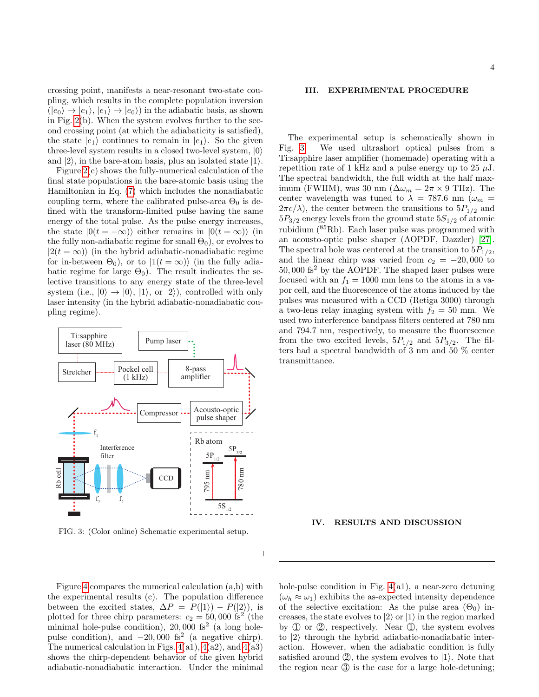crossing point, manifests a near-resonant two-state coupling, which results in the complete population inversion  $(|e_0\rangle \rightarrow |e_1\rangle, |e_1\rangle \rightarrow |e_0\rangle)$  in the adiabatic basis, as shown in Fig. [2\(](#page-2-2)b). When the system evolves further to the second crossing point (at which the adiabaticity is satisfied), the state  $|e_1\rangle$  continues to remain in  $|e_1\rangle$ . So the given three-level system results in a closed two-level system,  $|0\rangle$ and  $|2\rangle$ , in the bare-atom basis, plus an isolated state  $|1\rangle$ .

Figure [2\(](#page-2-2)c) shows the fully-numerical calculation of the final state populations in the bare-atomic basis using the Hamiltonian in Eq. [\(7\)](#page-1-2) which includes the nonadiabatic coupling term, where the calibrated pulse-area  $\Theta_0$  is defined with the transform-limited pulse having the same energy of the total pulse. As the pulse energy increases, the state  $|0(t = -\infty)\rangle$  either remains in  $|0(t = \infty)\rangle$  (in the fully non-adiabatic regime for small  $\Theta_0$ , or evolves to  $|2(t = \infty)\rangle$  (in the hybrid adiabatic-nonadiabatic regime for in-between  $\Theta_0$ ), or to  $|1(t = \infty)\rangle$  (in the fully adiabatic regime for large  $\Theta_0$ ). The result indicates the selective transitions to any energy state of the three-level system (i.e.,  $|0\rangle \rightarrow |0\rangle$ ,  $|1\rangle$ , or  $|2\rangle$ ), controlled with only laser intensity (in the hybrid adiabatic-nonadiabatic coupling regime).



<span id="page-3-0"></span>FIG. 3: (Color online) Schematic experimental setup.

Figure [4](#page-4-0) compares the numerical calculation (a,b) with the experimental results (c). The population difference between the excited states,  $\Delta P = P(|1\rangle) - P(|2\rangle)$ , is plotted for three chirp parameters:  $c_2 = 50,000$  fs<sup>2</sup> (the minimal hole-pulse condition),  $20,000$  fs<sup>2</sup> (a long holepulse condition), and  $-20,000$  fs<sup>2</sup> (a negative chirp). The numerical calculation in Figs.  $4(a1)$ ,  $4(a2)$ , and  $4(a3)$ shows the chirp-dependent behavior of the given hybrid adiabatic-nonadiabatic interaction. Under the minimal

4

### III. EXPERIMENTAL PROCEDURE

The experimental setup is schematically shown in Fig. [3.](#page-3-0) We used ultrashort optical pulses from a Ti:sapphire laser amplifier (homemade) operating with a repetition rate of 1 kHz and a pulse energy up to 25  $\mu$ J. The spectral bandwidth, the full width at the half maximum (FWHM), was 30 nm ( $\Delta \omega_m = 2\pi \times 9$  THz). The center wavelength was tuned to  $\lambda = 787.6$  nm ( $\omega_m$  =  $2\pi c/\lambda$ , the center between the transitions to  $5P_{1/2}$  and  $5P_{3/2}$  energy levels from the ground state  $5S_{1/2}$  of atomic rubidium (85Rb). Each laser pulse was programmed with an acousto-optic pulse shaper (AOPDF, Dazzler) [\[27\]](#page-6-13). The spectral hole was centered at the transition to  $5P_{1/2}$ , and the linear chirp was varied from  $c_2 = -20,000$  to  $50,000$   $\rm{fs^2}$  by the AOPDF. The shaped laser pulses were focused with an  $f_1 = 1000$  mm lens to the atoms in a vapor cell, and the fluorescence of the atoms induced by the pulses was measured with a CCD (Retiga 3000) through a two-lens relay imaging system with  $f_2 = 50$  mm. We used two interference bandpass filters centered at 780 nm and 794.7 nm, respectively, to measure the fluorescence from the two excited levels,  $5P_{1/2}$  and  $5P_{3/2}$ . The filters had a spectral bandwidth of 3 nm and 50 % center transmittance.

## IV. RESULTS AND DISCUSSION

hole-pulse condition in Fig.  $4(a1)$ , a near-zero detuning  $(\omega_h \approx \omega_1)$  exhibits the as-expected intensity dependence of the selective excitation: As the pulse area  $(\Theta_0)$  increases, the state evolves to  $|2\rangle$  or  $|1\rangle$  in the region marked by  $(1)$  or  $(2)$ , respectively. Near  $(1)$ , the system evolves to  $|2\rangle$  through the hybrid adiabatic-nonadiabatic interaction. However, when the adiabatic condition is fully satisfied around  $(2)$ , the system evolves to  $|1\rangle$ . Note that the region near 3 is the case for a large hole-detuning;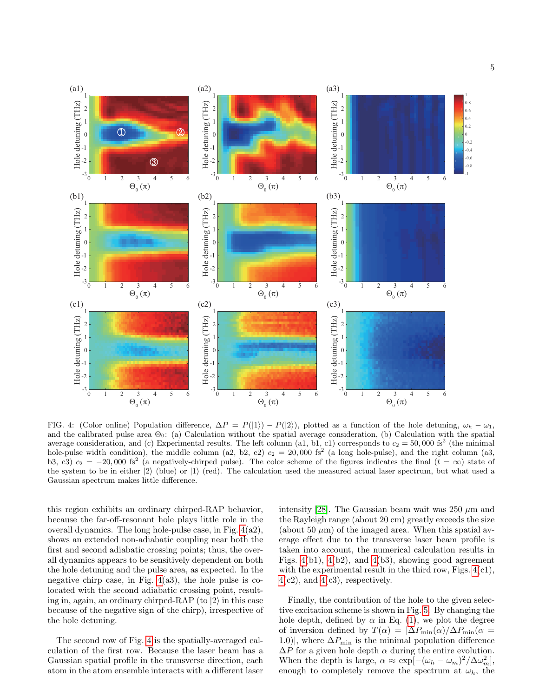

<span id="page-4-0"></span>FIG. 4: (Color online) Population difference,  $\Delta P = P(|1\rangle) - P(|2\rangle)$ , plotted as a function of the hole detuning,  $\omega_h - \omega_1$ , and the calibrated pulse area  $\Theta_0$ : (a) Calculation without the spatial average consideration, (b) Calculation with the spatial average consideration, and (c) Experimental results. The left column (a1, b1, c1) corresponds to  $c_2 = 50,000$  fs<sup>2</sup> (the minimal hole-pulse width condition), the middle column (a2, b2, c2)  $c_2 = 20,000$  fs<sup>2</sup> (a long hole-pulse), and the right column (a3, b3, c3)  $c_2 = -20,000$  fs<sup>2</sup> (a negatively-chirped pulse). The color scheme of the figures indicates the final  $(t = \infty)$  state of the system to be in either  $|2\rangle$  (blue) or  $|1\rangle$  (red). The calculation used the measured actual laser spectrum, but what used a Gaussian spectrum makes little difference.

this region exhibits an ordinary chirped-RAP behavior, because the far-off-resonant hole plays little role in the overall dynamics. The long hole-pulse case, in Fig. [4\(](#page-4-0)a2), shows an extended non-adiabatic coupling near both the first and second adiabatic crossing points; thus, the overall dynamics appears to be sensitively dependent on both the hole detuning and the pulse area, as expected. In the negative chirp case, in Fig.  $4(a3)$ , the hole pulse is colocated with the second adiabatic crossing point, resulting in, again, an ordinary chirped-RAP (to  $|2\rangle$ ) in this case because of the negative sign of the chirp), irrespective of the hole detuning.

The second row of Fig. [4](#page-4-0) is the spatially-averaged calculation of the first row. Because the laser beam has a Gaussian spatial profile in the transverse direction, each atom in the atom ensemble interacts with a different laser intensity [\[28\]](#page-6-14). The Gaussian beam wait was 250  $\mu$ m and the Rayleigh range (about 20 cm) greatly exceeds the size (about 50  $\mu$ m) of the imaged area. When this spatial average effect due to the transverse laser beam profile is taken into account, the numerical calculation results in Figs.  $4(b1)$ ,  $4(b2)$ , and  $4(b3)$ , showing good agreement with the experimental result in the third row, Figs.  $4(c1)$ ,  $4(c2)$  $4(c2)$ , and  $4(c3)$ , respectively.

Finally, the contribution of the hole to the given selective excitation scheme is shown in Fig. [5.](#page-5-5) By changing the hole depth, defined by  $\alpha$  in Eq. [\(1\)](#page-1-0), we plot the degree of inversion defined by  $T(\alpha) = |\Delta P_{\min}(\alpha)| \Delta P_{\min}(\alpha)$ 1.0)|, where  $\Delta P_{\text{min}}$  is the minimal population difference  $\Delta P$  for a given hole depth  $\alpha$  during the entire evolution. When the depth is large,  $\alpha \approx \exp[-(\omega_h - \omega_m)^2/\Delta \omega_m^2]$ , enough to completely remove the spectrum at  $\omega_h$ , the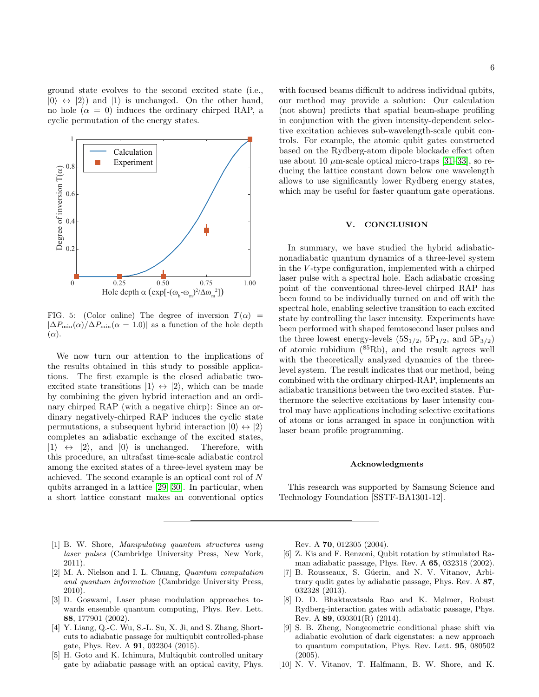ground state evolves to the second excited state (i.e.,  $|0\rangle \leftrightarrow |2\rangle$  and  $|1\rangle$  is unchanged. On the other hand, no hole  $(\alpha = 0)$  induces the ordinary chirped RAP, a cyclic permutation of the energy states.



<span id="page-5-5"></span>FIG. 5: (Color online) The degree of inversion  $T(\alpha)$  =  $|\Delta P_{\min}(\alpha)/\Delta P_{\min}(\alpha = 1.0)|$  as a function of the hole depth  $(\alpha)$ .

We now turn our attention to the implications of the results obtained in this study to possible applications. The first example is the closed adiabatic twoexcited state transitions  $|1\rangle \leftrightarrow |2\rangle$ , which can be made by combining the given hybrid interaction and an ordinary chirped RAP (with a negative chirp): Since an ordinary negatively-chirped RAP induces the cyclic state permutations, a subsequent hybrid interaction  $|0\rangle \leftrightarrow |2\rangle$ completes an adiabatic exchange of the excited states,  $|1\rangle \leftrightarrow |2\rangle$ , and  $|0\rangle$  is unchanged. Therefore, with this procedure, an ultrafast time-scale adiabatic control among the excited states of a three-level system may be achieved. The second example is an optical cont rol of N qubits arranged in a lattice [\[29,](#page-6-15) [30\]](#page-6-16). In particular, when a short lattice constant makes an conventional optics 6

with focused beams difficult to address individual qubits, our method may provide a solution: Our calculation (not shown) predicts that spatial beam-shape profiling in conjunction with the given intensity-dependent selective excitation achieves sub-wavelength-scale qubit controls. For example, the atomic qubit gates constructed based on the Rydberg-atom dipole blockade effect often use about 10  $\mu$ m-scale optical micro-traps [\[31–](#page-6-17)[33\]](#page-6-18), so reducing the lattice constant down below one wavelength allows to use significantly lower Rydberg energy states, which may be useful for faster quantum gate operations.

#### V. CONCLUSION

In summary, we have studied the hybrid adiabaticnonadiabatic quantum dynamics of a three-level system in the V -type configuration, implemented with a chirped laser pulse with a spectral hole. Each adiabatic crossing point of the conventional three-level chirped RAP has been found to be individually turned on and off with the spectral hole, enabling selective transition to each excited state by controlling the laser intensity. Experiments have been performed with shaped femtosecond laser pulses and the three lowest energy-levels  $(5S_{1/2}, 5P_{1/2},$  and  $5P_{3/2})$ of atomic rubidium  $(^{85}Rb)$ , and the result agrees well with the theoretically analyzed dynamics of the threelevel system. The result indicates that our method, being combined with the ordinary chirped-RAP, implements an adiabatic transitions between the two excited states. Furthermore the selective excitations by laser intensity control may have applications including selective excitations of atoms or ions arranged in space in conjunction with laser beam profile programming.

#### Acknowledgments

This research was supported by Samsung Science and Technology Foundation [SSTF-BA1301-12].

- <span id="page-5-0"></span>[1] B. W. Shore, Manipulating quantum structures using laser pulses (Cambridge University Press, New York, 2011).
- <span id="page-5-1"></span>[2] M. A. Nielson and I. L. Chuang, Quantum computation and quantum information (Cambridge University Press, 2010).
- <span id="page-5-2"></span>[3] D. Goswami, Laser phase modulation approaches towards ensemble quantum computing, Phys. Rev. Lett. 88, 177901 (2002).
- [4] Y. Liang, Q.-C. Wu, S.-L. Su, X. Ji, and S. Zhang, Shortcuts to adiabatic passage for multiqubit controlled-phase gate, Phys. Rev. A 91, 032304 (2015).
- [5] H. Goto and K. Ichimura, Multiqubit controlled unitary gate by adiabatic passage with an optical cavity, Phys.

Rev. A 70, 012305 (2004).

- [6] Z. Kis and F. Renzoni, Qubit rotation by stimulated Raman adiabatic passage, Phys. Rev. A 65, 032318 (2002).
- [7] B. Rousseaux, S. Gúerin, and N. V. Vitanov, Arbitrary qudit gates by adiabatic passage, Phys. Rev. A 87, 032328 (2013).
- [8] D. D. Bhaktavatsala Rao and K. Mølmer, Robust Rydberg-interaction gates with adiabatic passage, Phys. Rev. A 89, 030301(R) (2014).
- <span id="page-5-3"></span>[9] S. B. Zheng, Nongeometric conditional phase shift via adiabatic evolution of dark eigenstates: a new approach to quantum computation, Phys. Rev. Lett. 95, 080502  $(2005).$
- <span id="page-5-4"></span>[10] N. V. Vitanov, T. Halfmann, B. W. Shore, and K.